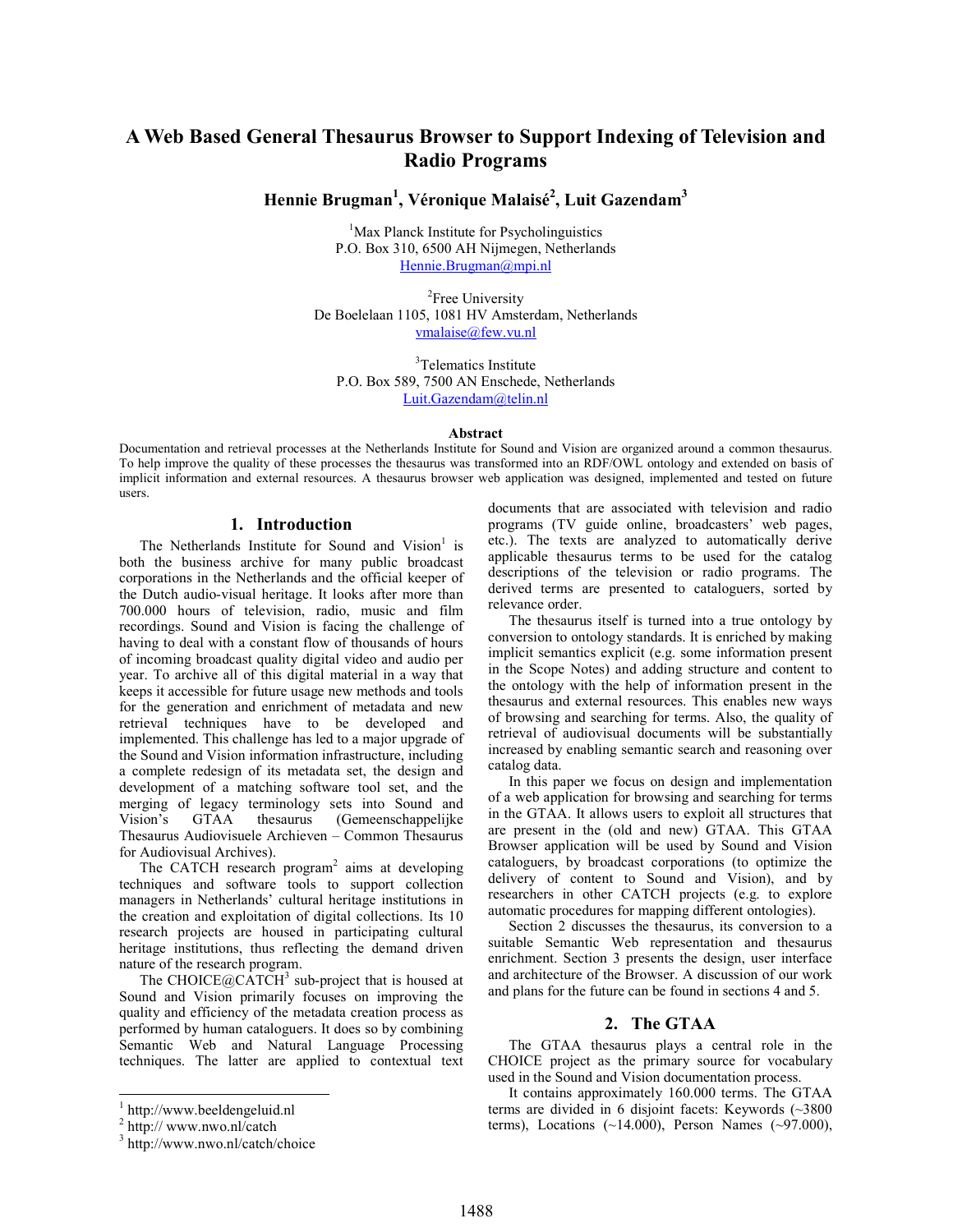# A Web Based General Thesaurus Browser to Support Indexing of Television and Radio Programs

Hennie Brugman $^1$ , Véronique Malaisé $^2$ , Luit Gazendam $^3$ 

<sup>1</sup>Max Planck Institute for Psycholinguistics P.O. Box 310, 6500 AH Nijmegen, Netherlands Hennie.Brugman@mpi.nl

<sup>2</sup>Free University De Boelelaan 1105, 1081 HV Amsterdam, Netherlands vmalaise@few.vu.nl

3 Telematics Institute P.O. Box 589, 7500 AN Enschede, Netherlands Luit.Gazendam@telin.nl

#### Abstract

Documentation and retrieval processes at the Netherlands Institute for Sound and Vision are organized around a common thesaurus. To help improve the quality of these processes the thesaurus was transformed into an RDF/OWL ontology and extended on basis of implicit information and external resources. A thesaurus browser web application was designed, implemented and tested on future users.

### 1. Introduction

The Netherlands Institute for Sound and Vision<sup>1</sup> is both the business archive for many public broadcast corporations in the Netherlands and the official keeper of the Dutch audio-visual heritage. It looks after more than 700.000 hours of television, radio, music and film recordings. Sound and Vision is facing the challenge of having to deal with a constant flow of thousands of hours of incoming broadcast quality digital video and audio per year. To archive all of this digital material in a way that keeps it accessible for future usage new methods and tools for the generation and enrichment of metadata and new retrieval techniques have to be developed and implemented. This challenge has led to a major upgrade of the Sound and Vision information infrastructure, including a complete redesign of its metadata set, the design and development of a matching software tool set, and the merging of legacy terminology sets into Sound and Vision's GTAA thesaurus (Gemeenschappelijke Thesaurus Audiovisuele Archieven – Common Thesaurus for Audiovisual Archives).

The CATCH research program<sup>2</sup> aims at developing techniques and software tools to support collection managers in Netherlands' cultural heritage institutions in the creation and exploitation of digital collections. Its 10 research projects are housed in participating cultural heritage institutions, thus reflecting the demand driven nature of the research program.

The CHOICE@CATCH<sup>3</sup> sub-project that is housed at Sound and Vision primarily focuses on improving the quality and efficiency of the metadata creation process as performed by human cataloguers. It does so by combining Semantic Web and Natural Language Processing techniques. The latter are applied to contextual text

-

documents that are associated with television and radio programs (TV guide online, broadcasters' web pages, etc.). The texts are analyzed to automatically derive applicable thesaurus terms to be used for the catalog descriptions of the television or radio programs. The derived terms are presented to cataloguers, sorted by relevance order.

The thesaurus itself is turned into a true ontology by conversion to ontology standards. It is enriched by making implicit semantics explicit (e.g. some information present in the Scope Notes) and adding structure and content to the ontology with the help of information present in the thesaurus and external resources. This enables new ways of browsing and searching for terms. Also, the quality of retrieval of audiovisual documents will be substantially increased by enabling semantic search and reasoning over catalog data.

In this paper we focus on design and implementation of a web application for browsing and searching for terms in the GTAA. It allows users to exploit all structures that are present in the (old and new) GTAA. This GTAA Browser application will be used by Sound and Vision cataloguers, by broadcast corporations (to optimize the delivery of content to Sound and Vision), and by researchers in other CATCH projects (e.g. to explore automatic procedures for mapping different ontologies).

Section 2 discusses the thesaurus, its conversion to a suitable Semantic Web representation and thesaurus enrichment. Section 3 presents the design, user interface and architecture of the Browser. A discussion of our work and plans for the future can be found in sections 4 and 5.

# 2. The GTAA

The GTAA thesaurus plays a central role in the CHOICE project as the primary source for vocabulary used in the Sound and Vision documentation process.

It contains approximately 160.000 terms. The GTAA terms are divided in 6 disjoint facets: Keywords (~3800 terms), Locations  $(\sim 14.000)$ , Person Names  $(\sim 97.000)$ ,

<sup>1</sup> http://www.beeldengeluid.nl

<sup>&</sup>lt;sup>2</sup> http:// www.nwo.nl/catch

<sup>3</sup> http://www.nwo.nl/catch/choice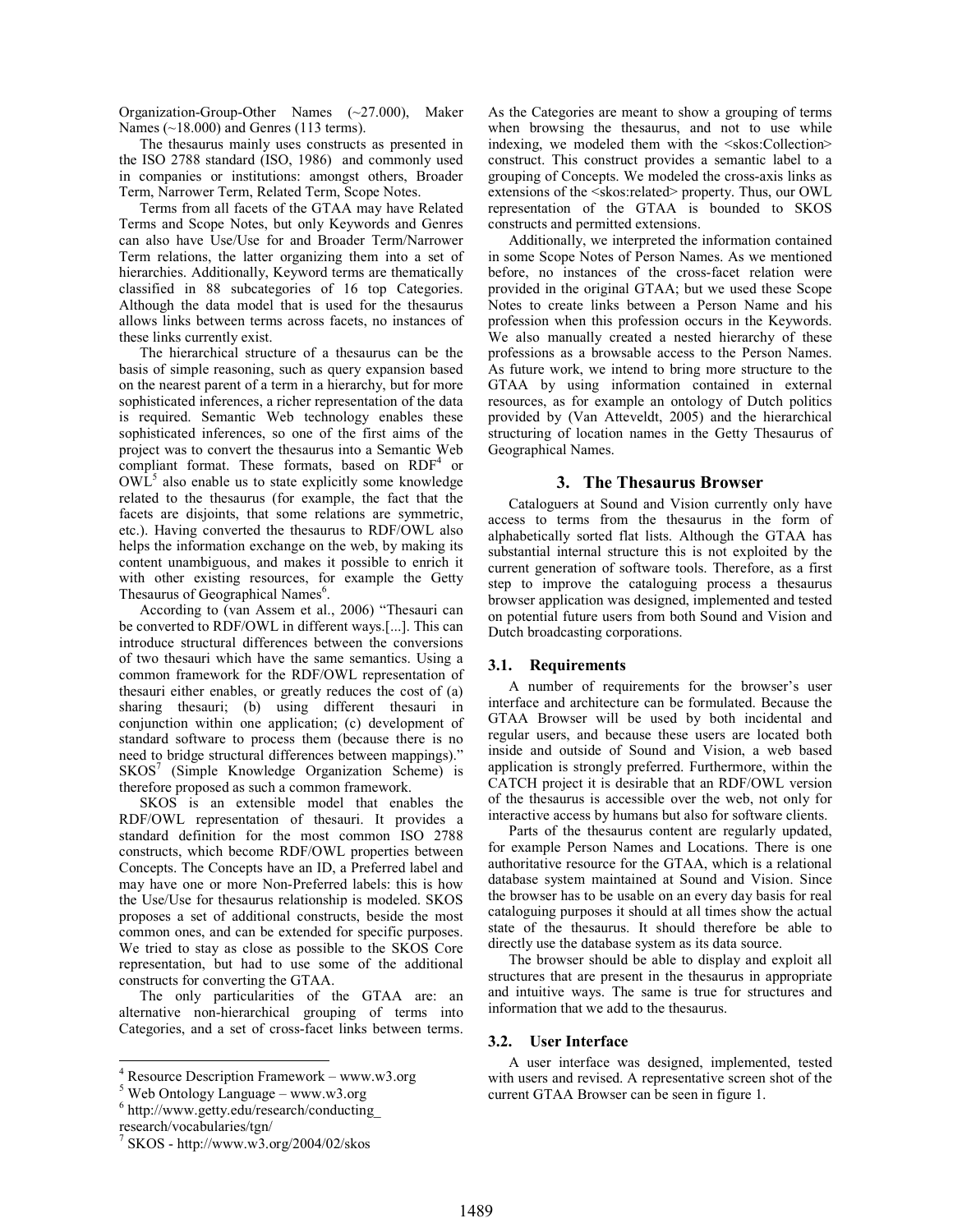Organization-Group-Other Names (~27.000), Maker Names (~18.000) and Genres (113 terms).

The thesaurus mainly uses constructs as presented in the ISO 2788 standard (ISO, 1986) and commonly used in companies or institutions: amongst others, Broader Term, Narrower Term, Related Term, Scope Notes.

Terms from all facets of the GTAA may have Related Terms and Scope Notes, but only Keywords and Genres can also have Use/Use for and Broader Term/Narrower Term relations, the latter organizing them into a set of hierarchies. Additionally, Keyword terms are thematically classified in 88 subcategories of 16 top Categories. Although the data model that is used for the thesaurus allows links between terms across facets, no instances of these links currently exist.

The hierarchical structure of a thesaurus can be the basis of simple reasoning, such as query expansion based on the nearest parent of a term in a hierarchy, but for more sophisticated inferences, a richer representation of the data is required. Semantic Web technology enables these sophisticated inferences, so one of the first aims of the project was to convert the thesaurus into a Semantic Web compliant format. These formats, based on RDF<sup>4</sup> or  $\overline{OWL}^5$  also enable us to state explicitly some knowledge related to the thesaurus (for example, the fact that the facets are disjoints, that some relations are symmetric, etc.). Having converted the thesaurus to RDF/OWL also helps the information exchange on the web, by making its content unambiguous, and makes it possible to enrich it with other existing resources, for example the Getty Thesaurus of Geographical Names<sup>6</sup>.

According to (van Assem et al., 2006) "Thesauri can be converted to RDF/OWL in different ways.[...]. This can introduce structural differences between the conversions of two thesauri which have the same semantics. Using a common framework for the RDF/OWL representation of thesauri either enables, or greatly reduces the cost of (a) sharing thesauri; (b) using different thesauri in conjunction within one application; (c) development of standard software to process them (because there is no need to bridge structural differences between mappings). SKOS<sup>7</sup> (Simple Knowledge Organization Scheme) is therefore proposed as such a common framework.

SKOS is an extensible model that enables the RDF/OWL representation of thesauri. It provides a standard definition for the most common ISO 2788 constructs, which become RDF/OWL properties between Concepts. The Concepts have an ID, a Preferred label and may have one or more Non-Preferred labels: this is how the Use/Use for thesaurus relationship is modeled. SKOS proposes a set of additional constructs, beside the most common ones, and can be extended for specific purposes. We tried to stay as close as possible to the SKOS Core representation, but had to use some of the additional constructs for converting the GTAA.

The only particularities of the GTAA are: an alternative non-hierarchical grouping of terms into Categories, and a set of cross-facet links between terms.

As the Categories are meant to show a grouping of terms when browsing the thesaurus, and not to use while indexing, we modeled them with the <skos:Collection> construct. This construct provides a semantic label to a grouping of Concepts. We modeled the cross-axis links as extensions of the <skos:related> property. Thus, our OWL representation of the GTAA is bounded to SKOS constructs and permitted extensions.

Additionally, we interpreted the information contained in some Scope Notes of Person Names. As we mentioned before, no instances of the cross-facet relation were provided in the original GTAA; but we used these Scope Notes to create links between a Person Name and his profession when this profession occurs in the Keywords. We also manually created a nested hierarchy of these professions as a browsable access to the Person Names. As future work, we intend to bring more structure to the GTAA by using information contained in external resources, as for example an ontology of Dutch politics provided by (Van Atteveldt, 2005) and the hierarchical structuring of location names in the Getty Thesaurus of Geographical Names.

#### 3. The Thesaurus Browser

Cataloguers at Sound and Vision currently only have access to terms from the thesaurus in the form of alphabetically sorted flat lists. Although the GTAA has substantial internal structure this is not exploited by the current generation of software tools. Therefore, as a first step to improve the cataloguing process a thesaurus browser application was designed, implemented and tested on potential future users from both Sound and Vision and Dutch broadcasting corporations.

### 3.1. Requirements

A number of requirements for the browser's user interface and architecture can be formulated. Because the GTAA Browser will be used by both incidental and regular users, and because these users are located both inside and outside of Sound and Vision, a web based application is strongly preferred. Furthermore, within the CATCH project it is desirable that an RDF/OWL version of the thesaurus is accessible over the web, not only for interactive access by humans but also for software clients.

Parts of the thesaurus content are regularly updated, for example Person Names and Locations. There is one authoritative resource for the GTAA, which is a relational database system maintained at Sound and Vision. Since the browser has to be usable on an every day basis for real cataloguing purposes it should at all times show the actual state of the thesaurus. It should therefore be able to directly use the database system as its data source.

The browser should be able to display and exploit all structures that are present in the thesaurus in appropriate and intuitive ways. The same is true for structures and information that we add to the thesaurus.

#### 3.2. User Interface

A user interface was designed, implemented, tested with users and revised. A representative screen shot of the current GTAA Browser can be seen in figure 1.

 4 Resource Description Framework – www.w3.org

 $5$  Web Ontology Language – www.w3.org

<sup>6</sup> http://www.getty.edu/research/conducting\_

research/vocabularies/tgn/

<sup>7</sup> SKOS - http://www.w3.org/2004/02/skos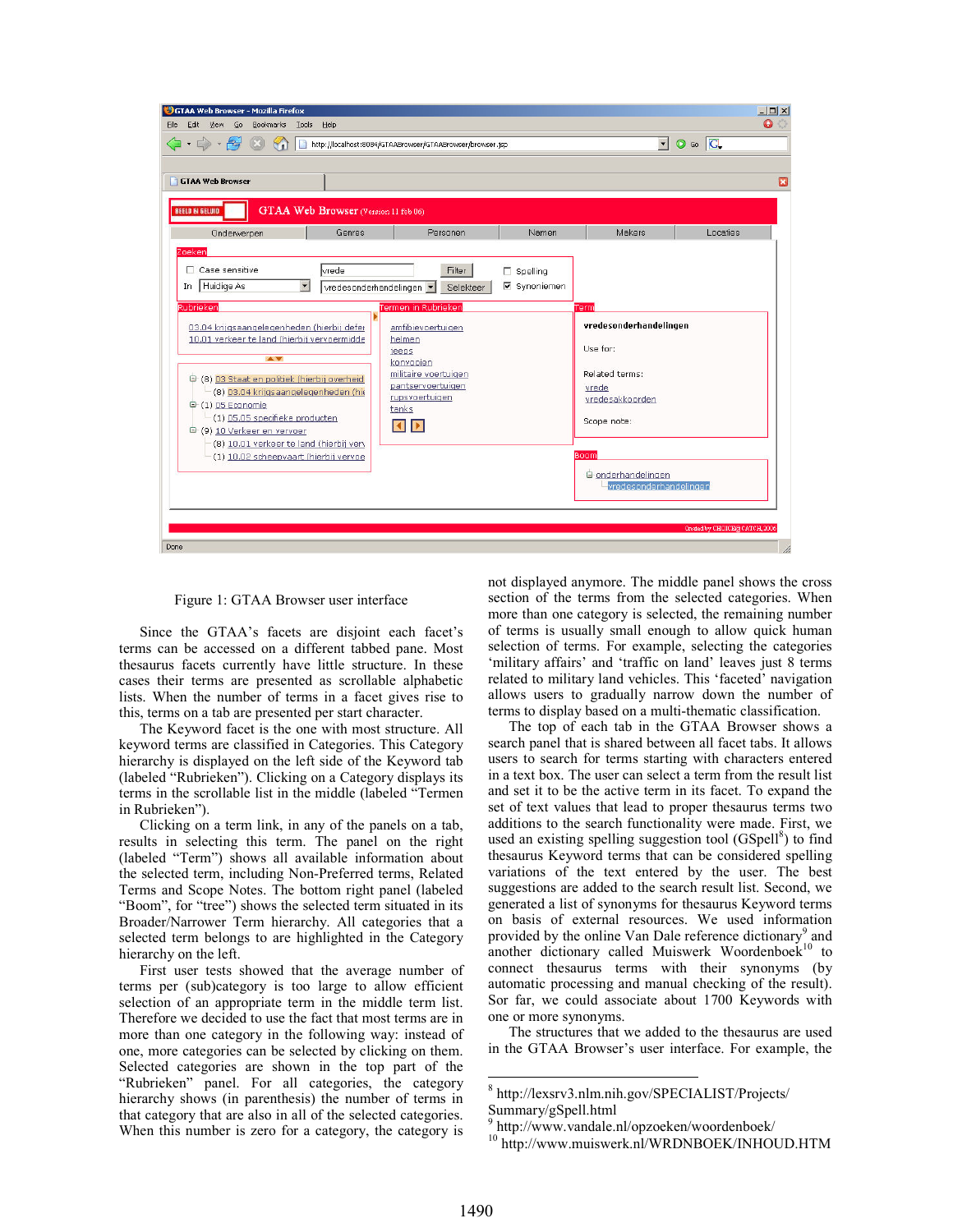

Figure 1: GTAA Browser user interface

Since the GTAA's facets are disjoint each facet's terms can be accessed on a different tabbed pane. Most thesaurus facets currently have little structure. In these cases their terms are presented as scrollable alphabetic lists. When the number of terms in a facet gives rise to this, terms on a tab are presented per start character.

The Keyword facet is the one with most structure. All keyword terms are classified in Categories. This Category hierarchy is displayed on the left side of the Keyword tab (labeled "Rubrieken"). Clicking on a Category displays its terms in the scrollable list in the middle (labeled "Termen in Rubrieken").

Clicking on a term link, in any of the panels on a tab, results in selecting this term. The panel on the right (labeled "Term") shows all available information about the selected term, including Non-Preferred terms, Related Terms and Scope Notes. The bottom right panel (labeled "Boom", for "tree") shows the selected term situated in its Broader/Narrower Term hierarchy. All categories that a selected term belongs to are highlighted in the Category hierarchy on the left.

First user tests showed that the average number of terms per (sub)category is too large to allow efficient selection of an appropriate term in the middle term list. Therefore we decided to use the fact that most terms are in more than one category in the following way: instead of one, more categories can be selected by clicking on them. Selected categories are shown in the top part of the "Rubrieken" panel. For all categories, the category hierarchy shows (in parenthesis) the number of terms in that category that are also in all of the selected categories. When this number is zero for a category, the category is

not displayed anymore. The middle panel shows the cross section of the terms from the selected categories. When more than one category is selected, the remaining number of terms is usually small enough to allow quick human selection of terms. For example, selecting the categories 'military affairs' and 'traffic on land' leaves just 8 terms related to military land vehicles. This 'faceted' navigation allows users to gradually narrow down the number of terms to display based on a multi-thematic classification.

The top of each tab in the GTAA Browser shows a search panel that is shared between all facet tabs. It allows users to search for terms starting with characters entered in a text box. The user can select a term from the result list and set it to be the active term in its facet. To expand the set of text values that lead to proper thesaurus terms two additions to the search functionality were made. First, we used an existing spelling suggestion tool (GSpell<sup>8</sup>) to find thesaurus Keyword terms that can be considered spelling variations of the text entered by the user. The best suggestions are added to the search result list. Second, we generated a list of synonyms for thesaurus Keyword terms on basis of external resources. We used information provided by the online Van Dale reference dictionary<sup>9</sup> and another dictionary called Muiswerk Woordenboek<sup>10</sup> to connect thesaurus terms with their synonyms (by automatic processing and manual checking of the result). Sor far, we could associate about 1700 Keywords with one or more synonyms.

The structures that we added to the thesaurus are used in the GTAA Browser's user interface. For example, the

-

<sup>8</sup> http://lexsrv3.nlm.nih.gov/SPECIALIST/Projects/ Summary/gSpell.html

<sup>9</sup> http://www.vandale.nl/opzoeken/woordenboek/

<sup>&</sup>lt;sup>10</sup> http://www.muiswerk.nl/WRDNBOEK/INHOUD.HTM